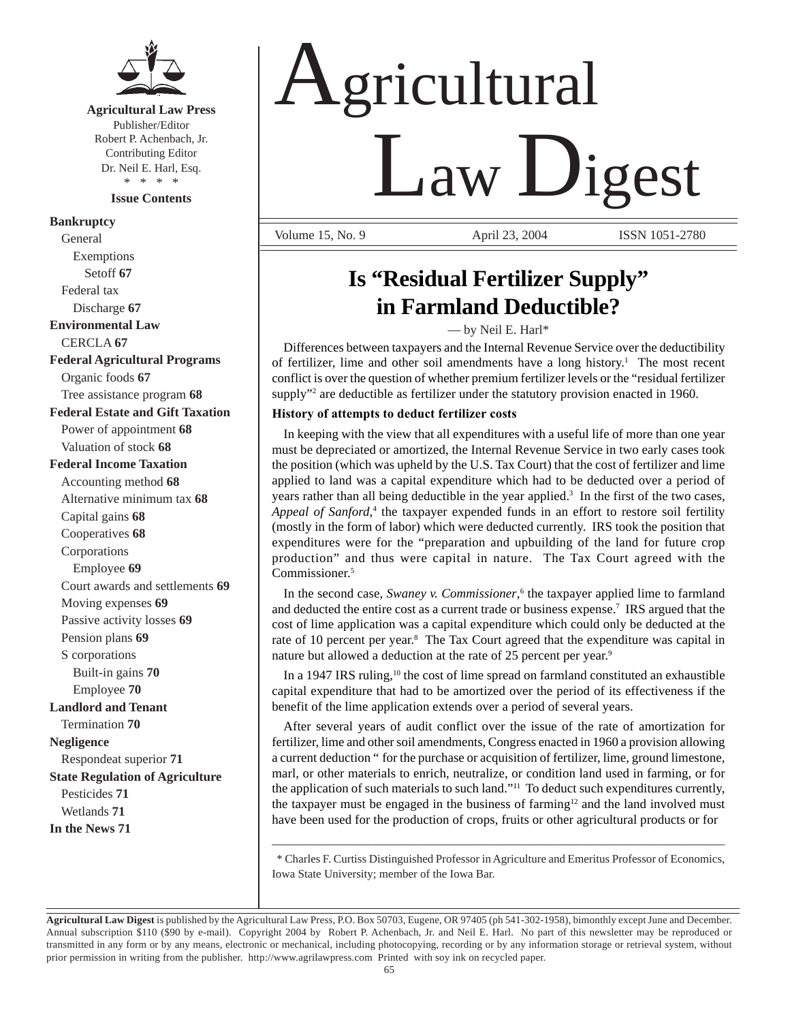

# **Agricultural Law Press**

Publisher/Editor Robert P. Achenbach, Jr. Contributing Editor Dr. Neil E. Harl, Esq. \* \* \* \*

**Issue Contents** 

**Bankruptcy**  General Exemptions Setoff **67**  Federal tax Discharge **67 Environmental Law**  CERCLA **67 Federal Agricultural Programs**  Organic foods **67**  Tree assistance program **68 Federal Estate and Gift Taxation**  Power of appointment **68**  Valuation of stock **68 Federal Income Taxation**  Accounting method **68**  Alternative minimum tax **68**  Capital gains **68**  Cooperatives **68**  Corporations Employee **69**  Court awards and settlements **69**  Moving expenses **69**  Passive activity losses **69**  Pension plans **69**  S corporations Built-in gains **70**  Employee **70 Landlord and Tenant**  Termination **70 Negligence**  Respondeat superior **71 State Regulation of Agriculture** 

Pesticides **71**  Wetlands **71 In the News 71** 

# Agricultural Law Digest

Volume 15, No. 9 **April 23, 2004** ISSN 1051-2780

# **Is "Residual Fertilizer Supply" in Farmland Deductible?**

— by Neil E. Harl\*

Differences between taxpayers and the Internal Revenue Service over the deductibility of fertilizer, lime and other soil amendments have a long history. 1 The most recent conflict is over the question of whether premium fertilizer levels or the "residual fertilizer supply"<sup>2</sup> are deductible as fertilizer under the statutory provision enacted in 1960.

## **History of attempts to deduct fertilizer costs**

In keeping with the view that all expenditures with a useful life of more than one year must be depreciated or amortized, the Internal Revenue Service in two early cases took the position (which was upheld by the U.S. Tax Court) that the cost of fertilizer and lime applied to land was a capital expenditure which had to be deducted over a period of years rather than all being deductible in the year applied.<sup>3</sup> In the first of the two cases, Appeal of Sanford,<sup>4</sup> the taxpayer expended funds in an effort to restore soil fertility (mostly in the form of labor) which were deducted currently. IRS took the position that expenditures were for the "preparation and upbuilding of the land for future crop production" and thus were capital in nature. The Tax Court agreed with the Commissioner. 5

In the second case, *Swaney v. Commissioner*, 6 the taxpayer applied lime to farmland and deducted the entire cost as a current trade or business expense.<sup>7</sup> IRS argued that the cost of lime application was a capital expenditure which could only be deducted at the rate of 10 percent per year.<sup>8</sup> The Tax Court agreed that the expenditure was capital in nature but allowed a deduction at the rate of 25 percent per year.<sup>9</sup>

In a 1947 IRS ruling, $10$  the cost of lime spread on farmland constituted an exhaustible capital expenditure that had to be amortized over the period of its effectiveness if the benefit of the lime application extends over a period of several years.

After several years of audit conflict over the issue of the rate of amortization for fertilizer, lime and other soil amendments, Congress enacted in 1960 a provision allowing a current deduction " for the purchase or acquisition of fertilizer, lime, ground limestone, marl, or other materials to enrich, neutralize, or condition land used in farming, or for the application of such materials to such land."11 To deduct such expenditures currently, the taxpayer must be engaged in the business of farming<sup>12</sup> and the land involved must have been used for the production of crops, fruits or other agricultural products or for

\* Charles F. Curtiss Distinguished Professor in Agriculture and Emeritus Professor of Economics, Iowa State University; member of the Iowa Bar.

\_\_\_\_\_\_\_\_\_\_\_\_\_\_\_\_\_\_\_\_\_\_\_\_\_\_\_\_\_\_\_\_\_\_\_\_\_\_\_\_\_\_\_\_\_\_\_\_\_\_\_\_\_\_\_\_\_\_\_\_\_\_\_\_\_\_\_\_\_\_

**Agricultural Law Digest** is published by the Agricultural Law Press, P.O. Box 50703, Eugene, OR 97405 (ph 541-302-1958), bimonthly except June and December. Annual subscription \$110 (\$90 by e-mail). Copyright 2004 by Robert P. Achenbach, Jr. and Neil E. Harl. No part of this newsletter may be reproduced or transmitted in any form or by any means, electronic or mechanical, including photocopying, recording or by any information storage or retrieval system, without prior permission in writing from the publisher. http://www.agrilawpress.com Printed with soy ink on recycled paper.